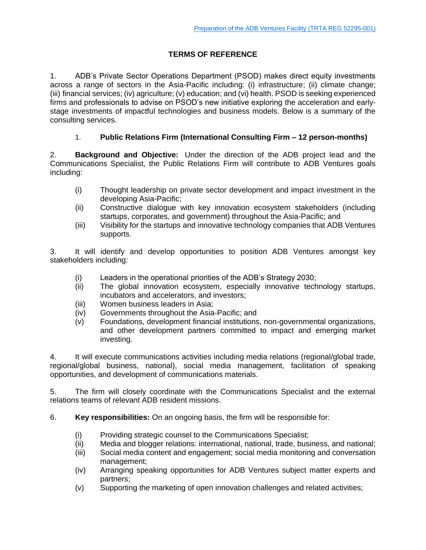## **TERMS OF REFERENCE**

1. ADB's Private Sector Operations Department (PSOD) makes direct equity investments across a range of sectors in the Asia-Pacific including: (i) infrastructure; (ii) climate change; (iii) financial services; (iv) agriculture; (v) education; and (vi) health. PSOD is seeking experienced firms and professionals to advise on PSOD's new initiative exploring the acceleration and earlystage investments of impactful technologies and business models. Below is a summary of the consulting services.

### 1. **Public Relations Firm (International Consulting Firm – 12 person-months)**

2. **Background and Objective:** Under the direction of the ADB project lead and the Communications Specialist, the Public Relations Firm will contribute to ADB Ventures goals including:

- (i) Thought leadership on private sector development and impact investment in the developing Asia-Pacific;
- (ii) Constructive dialogue with key innovation ecosystem stakeholders (including startups, corporates, and government) throughout the Asia-Pacific; and
- (iii) Visibility for the startups and innovative technology companies that ADB Ventures supports.

3. It will identify and develop opportunities to position ADB Ventures amongst key stakeholders including:

- (i) Leaders in the operational priorities of the ADB's Strategy 2030;
- (ii) The global innovation ecosystem, especially innovative technology startups, incubators and accelerators, and investors;
- (iii) Women business leaders in Asia;
- (iv) Governments throughout the Asia-Pacific; and
- (v) Foundations, development financial institutions, non-governmental organizations, and other development partners committed to impact and emerging market investing.

4. It will execute communications activities including media relations (regional/global trade, regional/global business, national), social media management, facilitation of speaking opportunities, and development of communications materials.

5. The firm will closely coordinate with the Communications Specialist and the external relations teams of relevant ADB resident missions.

6. **Key responsibilities:** On an ongoing basis, the firm will be responsible for:

- (i) Providing strategic counsel to the Communications Specialist;
- (ii) Media and blogger relations: international, national, trade, business, and national;
- (iii) Social media content and engagement; social media monitoring and conversation management;
- (iv) Arranging speaking opportunities for ADB Ventures subject matter experts and partners;
- (v) Supporting the marketing of open innovation challenges and related activities;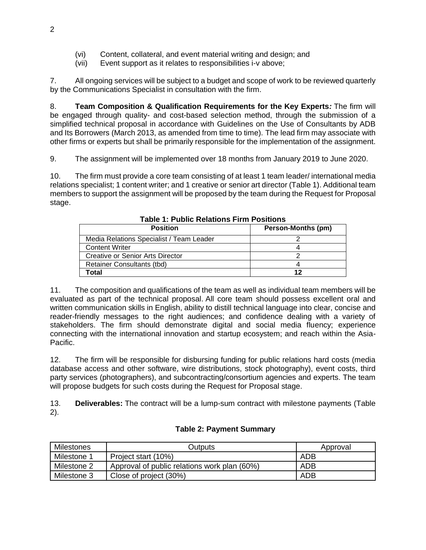- (vi) Content, collateral, and event material writing and design; and
- (vii) Event support as it relates to responsibilities i-v above;

7. All ongoing services will be subject to a budget and scope of work to be reviewed quarterly by the Communications Specialist in consultation with the firm.

8. **Team Composition & Qualification Requirements for the Key Experts***:* The firm will be engaged through quality- and cost-based selection method, through the submission of a simplified technical proposal in accordance with Guidelines on the Use of Consultants by ADB and Its Borrowers (March 2013, as amended from time to time). The lead firm may associate with other firms or experts but shall be primarily responsible for the implementation of the assignment.

9. The assignment will be implemented over 18 months from January 2019 to June 2020.

10. The firm must provide a core team consisting of at least 1 team leader/ international media relations specialist; 1 content writer; and 1 creative or senior art director (Table 1). Additional team members to support the assignment will be proposed by the team during the Request for Proposal stage.

| <b>Position</b>                          | Person-Months (pm) |
|------------------------------------------|--------------------|
| Media Relations Specialist / Team Leader |                    |
| <b>Content Writer</b>                    |                    |
| Creative or Senior Arts Director         |                    |
| Retainer Consultants (tbd)               |                    |
| Γotal                                    | 12                 |

**Table 1: Public Relations Firm Positions**

11. The composition and qualifications of the team as well as individual team members will be evaluated as part of the technical proposal. All core team should possess excellent oral and written communication skills in English, ability to distill technical language into clear, concise and reader-friendly messages to the right audiences; and confidence dealing with a variety of stakeholders. The firm should demonstrate digital and social media fluency; experience connecting with the international innovation and startup ecosystem; and reach within the Asia-Pacific.

12. The firm will be responsible for disbursing funding for public relations hard costs (media database access and other software, wire distributions, stock photography), event costs, third party services (photographers), and subcontracting/consortium agencies and experts. The team will propose budgets for such costs during the Request for Proposal stage.

13. **Deliverables:** The contract will be a lump-sum contract with milestone payments (Table 2).

| Milestones  | Outputs                                      | Approval |
|-------------|----------------------------------------------|----------|
| Milestone 1 | Project start (10%)                          | ADB      |
| Milestone 2 | Approval of public relations work plan (60%) | ADB      |
| Milestone 3 | Close of project (30%)                       | ADB      |

### **Table 2: Payment Summary**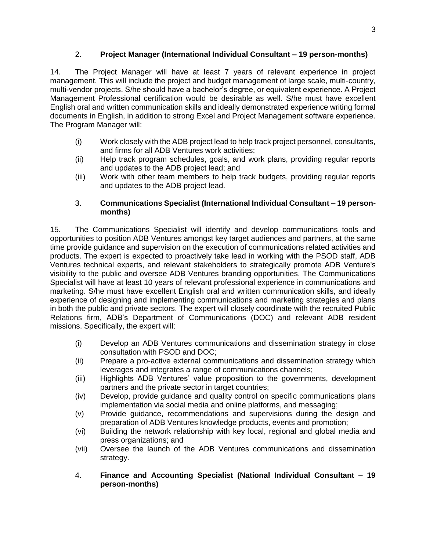## 2. **Project Manager (International Individual Consultant – 19 person-months)**

14. The Project Manager will have at least 7 years of relevant experience in project management. This will include the project and budget management of large scale, multi-country, multi-vendor projects. S/he should have a bachelor's degree, or equivalent experience. A Project Management Professional certification would be desirable as well. S/he must have excellent English oral and written communication skills and ideally demonstrated experience writing formal documents in English, in addition to strong Excel and Project Management software experience. The Program Manager will:

- (i) Work closely with the ADB project lead to help track project personnel, consultants, and firms for all ADB Ventures work activities;
- (ii) Help track program schedules, goals, and work plans, providing regular reports and updates to the ADB project lead; and
- (iii) Work with other team members to help track budgets, providing regular reports and updates to the ADB project lead.

#### 3. **Communications Specialist (International Individual Consultant – 19 personmonths)**

15. The Communications Specialist will identify and develop communications tools and opportunities to position ADB Ventures amongst key target audiences and partners, at the same time provide guidance and supervision on the execution of communications related activities and products. The expert is expected to proactively take lead in working with the PSOD staff, ADB Ventures technical experts, and relevant stakeholders to strategically promote ADB Venture's visibility to the public and oversee ADB Ventures branding opportunities. The Communications Specialist will have at least 10 years of relevant professional experience in communications and marketing. S/he must have excellent English oral and written communication skills, and ideally experience of designing and implementing communications and marketing strategies and plans in both the public and private sectors. The expert will closely coordinate with the recruited Public Relations firm, ADB's Department of Communications (DOC) and relevant ADB resident missions. Specifically, the expert will:

- (i) Develop an ADB Ventures communications and dissemination strategy in close consultation with PSOD and DOC;
- (ii) Prepare a pro-active external communications and dissemination strategy which leverages and integrates a range of communications channels;
- (iii) Highlights ADB Ventures' value proposition to the governments, development partners and the private sector in target countries;
- (iv) Develop, provide guidance and quality control on specific communications plans implementation via social media and online platforms, and messaging;
- (v) Provide guidance, recommendations and supervisions during the design and preparation of ADB Ventures knowledge products, events and promotion;
- (vi) Building the network relationship with key local, regional and global media and press organizations; and
- (vii) Oversee the launch of the ADB Ventures communications and dissemination strategy.
- 4. **Finance and Accounting Specialist (National Individual Consultant – 19 person-months)**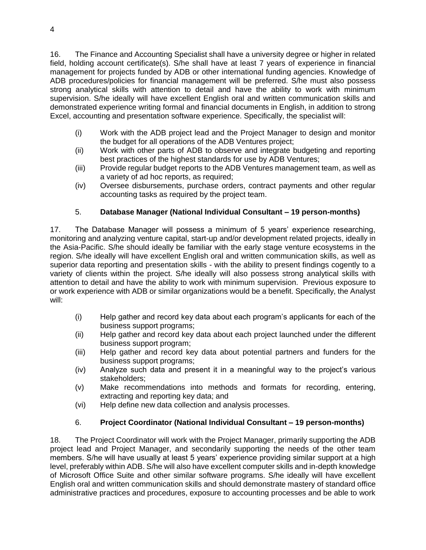16. The Finance and Accounting Specialist shall have a university degree or higher in related field, holding account certificate(s). S/he shall have at least 7 years of experience in financial management for projects funded by ADB or other international funding agencies. Knowledge of ADB procedures/policies for financial management will be preferred. S/he must also possess strong analytical skills with attention to detail and have the ability to work with minimum supervision. S/he ideally will have excellent English oral and written communication skills and demonstrated experience writing formal and financial documents in English, in addition to strong Excel, accounting and presentation software experience. Specifically, the specialist will:

- (i) Work with the ADB project lead and the Project Manager to design and monitor the budget for all operations of the ADB Ventures project;
- (ii) Work with other parts of ADB to observe and integrate budgeting and reporting best practices of the highest standards for use by ADB Ventures;
- (iii) Provide regular budget reports to the ADB Ventures management team, as well as a variety of ad hoc reports, as required;
- (iv) Oversee disbursements, purchase orders, contract payments and other regular accounting tasks as required by the project team.

# 5. **Database Manager (National Individual Consultant – 19 person-months)**

17. The Database Manager will possess a minimum of 5 years' experience researching, monitoring and analyzing venture capital, start-up and/or development related projects, ideally in the Asia-Pacific. S/he should ideally be familiar with the early stage venture ecosystems in the region. S/he ideally will have excellent English oral and written communication skills, as well as superior data reporting and presentation skills - with the ability to present findings cogently to a variety of clients within the project. S/he ideally will also possess strong analytical skills with attention to detail and have the ability to work with minimum supervision. Previous exposure to or work experience with ADB or similar organizations would be a benefit. Specifically, the Analyst will:

- (i) Help gather and record key data about each program's applicants for each of the business support programs;
- (ii) Help gather and record key data about each project launched under the different business support program;
- (iii) Help gather and record key data about potential partners and funders for the business support programs;
- (iv) Analyze such data and present it in a meaningful way to the project's various stakeholders;
- (v) Make recommendations into methods and formats for recording, entering, extracting and reporting key data; and
- (vi) Help define new data collection and analysis processes.

# 6. **Project Coordinator (National Individual Consultant – 19 person-months)**

18. The Project Coordinator will work with the Project Manager, primarily supporting the ADB project lead and Project Manager, and secondarily supporting the needs of the other team members. S/he will have usually at least 5 years' experience providing similar support at a high level, preferably within ADB. S/he will also have excellent computer skills and in-depth knowledge of Microsoft Office Suite and other similar software programs. S/he ideally will have excellent English oral and written communication skills and should demonstrate mastery of standard office administrative practices and procedures, exposure to accounting processes and be able to work